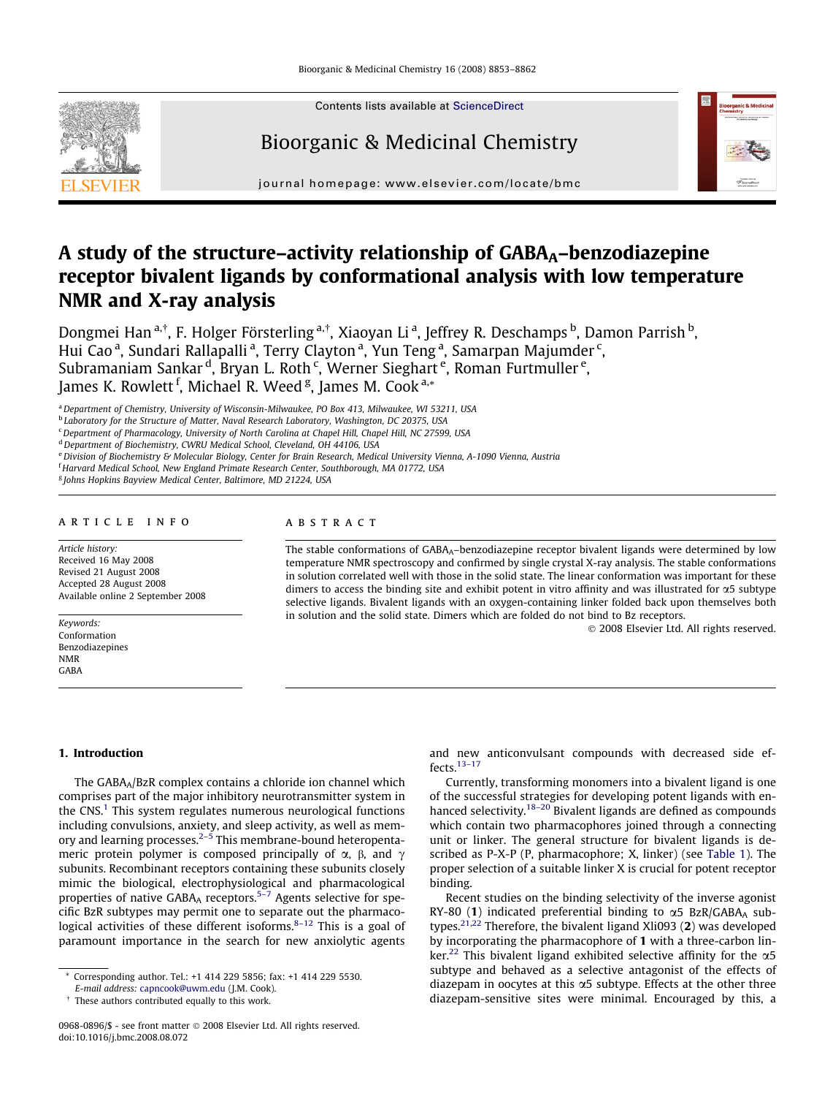

Contents lists available at [ScienceDirect](http://www.sciencedirect.com/science/journal/09680896)

# Bioorganic & Medicinal Chemistry



journal homepage: [www.elsevier.com/locate/bmc](http://www.elsevier.com/locate/bmc)

# A study of the structure–activity relationship of  $GABA_A$ –benzodiazepine receptor bivalent ligands by conformational analysis with low temperature NMR and X-ray analysis

Dongmei Han <sup>a,†</sup>, F. Holger Försterling <sup>a,†</sup>, Xiaoyan Li <sup>a</sup>, Jeffrey R. Deschamps <sup>b</sup>, Damon Parrish <sup>b</sup>, Hui Cao <sup>a</sup>, Sundari Rallapalli <sup>a</sup>, Terry Clayton <sup>a</sup>, Yun Teng <sup>a</sup>, Samarpan Majumder <sup>c</sup>, Subramaniam Sankar <sup>d</sup>, Bryan L. Roth <sup>c</sup>, Werner Sieghart <sup>e</sup>, Roman Furtmuller <sup>e</sup>, James K. Rowlett <sup>f</sup>, Michael R. Weed <sup>g</sup>, James M. Cook <sup>a,</sup>\*

a Department of Chemistry, University of Wisconsin-Milwaukee, PO Box 413, Milwaukee, WI 53211, USA

**b** Laboratory for the Structure of Matter, Naval Research Laboratory, Washington, DC 20375, USA

 $c$  Department of Pharmacology, University of North Carolina at Chapel Hill, Chapel Hill, NC 27599, USA

e Division of Biochemistry & Molecular Biology, Center for Brain Research, Medical University Vienna, A-1090 Vienna, Austria

f Harvard Medical School, New England Primate Research Center, Southborough, MA 01772, USA

<sup>g</sup> Johns Hopkins Bayview Medical Center, Baltimore, MD 21224, USA

## article info

Article history: Received 16 May 2008 Revised 21 August 2008 Accepted 28 August 2008 Available online 2 September 2008

Keywords: Conformation Benzodiazepines NMR GABA

## ABSTRACT

The stable conformations of GABA<sub>A</sub>–benzodiazepine receptor bivalent ligands were determined by low temperature NMR spectroscopy and confirmed by single crystal X-ray analysis. The stable conformations in solution correlated well with those in the solid state. The linear conformation was important for these dimers to access the binding site and exhibit potent in vitro affinity and was illustrated for a5 subtype selective ligands. Bivalent ligands with an oxygen-containing linker folded back upon themselves both in solution and the solid state. Dimers which are folded do not bind to Bz receptors.

- 2008 Elsevier Ltd. All rights reserved.

#### 1. Introduction

The GABAA/BzR complex contains a chloride ion channel which comprises part of the major inhibitory neurotransmitter system in the  $CNS<sup>1</sup>$  $CNS<sup>1</sup>$  $CNS<sup>1</sup>$  This system regulates numerous neurological functions including convulsions, anxiety, and sleep activity, as well as memory and learning processes.[2–5](#page-9-0) This membrane-bound heteropentameric protein polymer is composed principally of  $\alpha$ ,  $\beta$ , and  $\gamma$ subunits. Recombinant receptors containing these subunits closely mimic the biological, electrophysiological and pharmacological properties of native GABAA receptors.<sup>5–7</sup> Agents selective for specific BzR subtypes may permit one to separate out the pharmacological activities of these different isoforms. $8-12$  This is a goal of paramount importance in the search for new anxiolytic agents and new anticonvulsant compounds with decreased side effects[.13–17](#page-9-0)

Currently, transforming monomers into a bivalent ligand is one of the successful strategies for developing potent ligands with en-hanced selectivity.<sup>[18–20](#page-9-0)</sup> Bivalent ligands are defined as compounds which contain two pharmacophores joined through a connecting unit or linker. The general structure for bivalent ligands is described as P-X-P (P, pharmacophore; X, linker) (see [Table 1\)](#page-1-0). The proper selection of a suitable linker X is crucial for potent receptor binding.

Recent studies on the binding selectivity of the inverse agonist RY-80 (1) indicated preferential binding to  $\alpha$ 5 BzR/GABA<sub>A</sub> sub-types.<sup>[21,22](#page-9-0)</sup> Therefore, the bivalent ligand Xli093 (2) was developed by incorporating the pharmacophore of 1 with a three-carbon lin-ker.<sup>[22](#page-9-0)</sup> This bivalent ligand exhibited selective affinity for the  $\alpha$ 5 subtype and behaved as a selective antagonist of the effects of diazepam in oocytes at this  $\alpha$ 5 subtype. Effects at the other three diazepam-sensitive sites were minimal. Encouraged by this, a

<sup>&</sup>lt;sup>d</sup> Department of Biochemistry, CWRU Medical School, Cleveland, OH 44106, USA

<sup>\*</sup> Corresponding author. Tel.: +1 414 229 5856; fax: +1 414 229 5530.

E-mail address: [capncook@uwm.edu](mailto:capncook@uwm.edu) (J.M. Cook).

<sup>&</sup>lt;sup>†</sup> These authors contributed equally to this work.

<sup>0968-0896/\$ -</sup> see front matter © 2008 Elsevier Ltd. All rights reserved. doi:10.1016/j.bmc.2008.08.072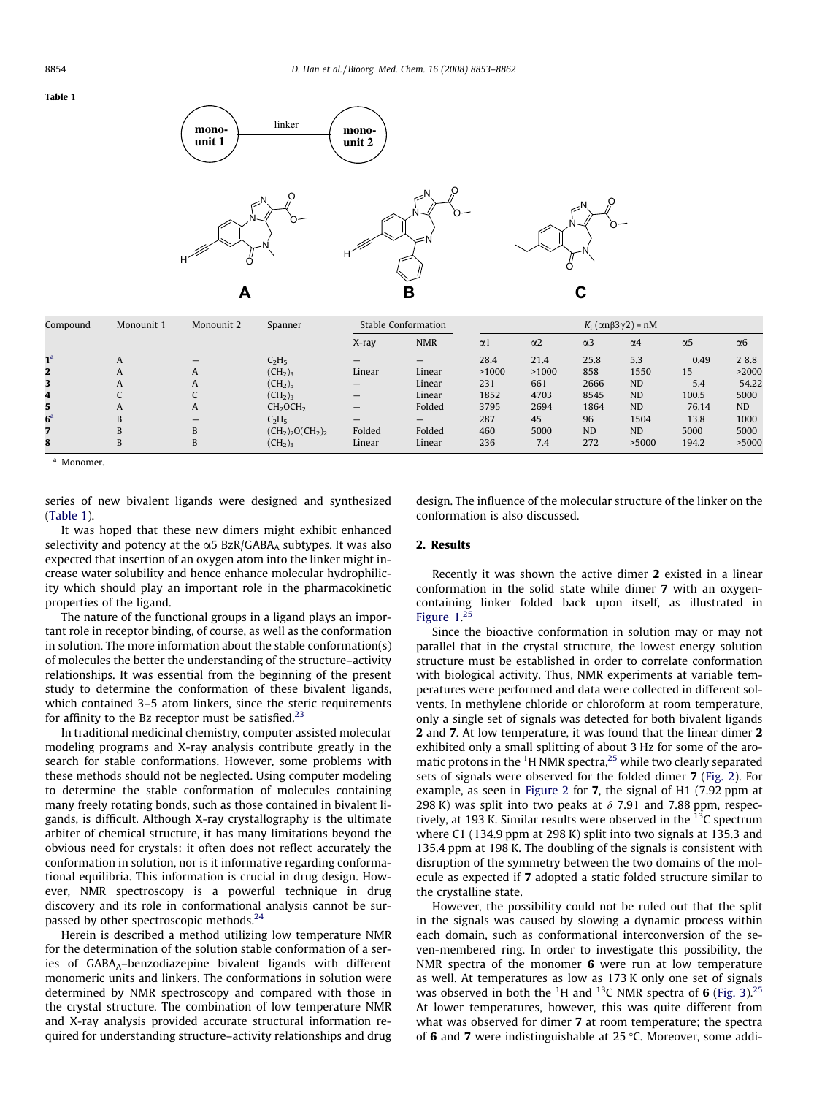#### <span id="page-1-0"></span>Table 1



| Compound       | Monounit 1 | Monounit 2 | Spanner                          | Stable Conformation             |            | $K_i$ ( $\alpha n\beta 3\gamma 2$ ) = nM |            |            |            |            |                       |
|----------------|------------|------------|----------------------------------|---------------------------------|------------|------------------------------------------|------------|------------|------------|------------|-----------------------|
|                |            |            |                                  | X-ray                           | <b>NMR</b> | $\alpha$ 1                               | $\alpha$ 2 | $\alpha$ 3 | $\alpha$ 4 | $\alpha$ 5 | $\alpha$ <sup>6</sup> |
| 1 <sup>a</sup> | A          |            | $C_2H_5$                         |                                 |            | 28.4                                     | 21.4       | 25.8       | 5.3        | 0.49       | 28.8                  |
| 2              | A          | A          | (CH <sub>2</sub> ) <sub>3</sub>  | Linear                          | Linear     | >1000                                    | >1000      | 858        | 1550       | 15         | >2000                 |
|                | A          | A          | (CH <sub>2</sub> ) <sub>5</sub>  | $\hspace{0.1mm}-\hspace{0.1mm}$ | Linear     | 231                                      | 661        | 2666       | <b>ND</b>  | 5.4        | 54.22                 |
| 4              |            |            | (CH <sub>2</sub> ) <sub>3</sub>  | $\overline{\phantom{m}}$        | Linear     | 1852                                     | 4703       | 8545       | <b>ND</b>  | 100.5      | 5000                  |
| 5              | A          | A          | CH <sub>2</sub> OCH <sub>2</sub> |                                 | Folded     | 3795                                     | 2694       | 1864       | <b>ND</b>  | 76.14      | <b>ND</b>             |
| $6^a$          | B          |            | $C_2H_5$                         |                                 |            | 287                                      | 45         | 96         | 1504       | 13.8       | 1000                  |
|                | B          | B          | $(CH2)2O(CH2)2$                  | Folded                          | Folded     | 460                                      | 5000       | <b>ND</b>  | <b>ND</b>  | 5000       | 5000                  |
| 8              | B          | B          | (CH <sub>2</sub> ) <sub>3</sub>  | Linear                          | Linear     | 236                                      | 7.4        | 272        | >5000      | 194.2      | >5000                 |

<sup>a</sup> Monomer.

series of new bivalent ligands were designed and synthesized (Table 1).

It was hoped that these new dimers might exhibit enhanced selectivity and potency at the  $\alpha$ 5 BzR/GABA<sub>A</sub> subtypes. It was also expected that insertion of an oxygen atom into the linker might increase water solubility and hence enhance molecular hydrophilicity which should play an important role in the pharmacokinetic properties of the ligand.

The nature of the functional groups in a ligand plays an important role in receptor binding, of course, as well as the conformation in solution. The more information about the stable conformation(s) of molecules the better the understanding of the structure–activity relationships. It was essential from the beginning of the present study to determine the conformation of these bivalent ligands, which contained 3–5 atom linkers, since the steric requirements for affinity to the Bz receptor must be satisfied. $23$ 

In traditional medicinal chemistry, computer assisted molecular modeling programs and X-ray analysis contribute greatly in the search for stable conformations. However, some problems with these methods should not be neglected. Using computer modeling to determine the stable conformation of molecules containing many freely rotating bonds, such as those contained in bivalent ligands, is difficult. Although X-ray crystallography is the ultimate arbiter of chemical structure, it has many limitations beyond the obvious need for crystals: it often does not reflect accurately the conformation in solution, nor is it informative regarding conformational equilibria. This information is crucial in drug design. However, NMR spectroscopy is a powerful technique in drug discovery and its role in conformational analysis cannot be surpassed by other spectroscopic methods.<sup>24</sup>

Herein is described a method utilizing low temperature NMR for the determination of the solution stable conformation of a series of  $GABA_A$ -benzodiazepine bivalent ligands with different monomeric units and linkers. The conformations in solution were determined by NMR spectroscopy and compared with those in the crystal structure. The combination of low temperature NMR and X-ray analysis provided accurate structural information required for understanding structure–activity relationships and drug design. The influence of the molecular structure of the linker on the conformation is also discussed.

## 2. Results

Recently it was shown the active dimer 2 existed in a linear conformation in the solid state while dimer 7 with an oxygencontaining linker folded back upon itself, as illustrated in [Figure 1.](#page-2-0) [25](#page-9-0)

Since the bioactive conformation in solution may or may not parallel that in the crystal structure, the lowest energy solution structure must be established in order to correlate conformation with biological activity. Thus, NMR experiments at variable temperatures were performed and data were collected in different solvents. In methylene chloride or chloroform at room temperature, only a single set of signals was detected for both bivalent ligands 2 and 7. At low temperature, it was found that the linear dimer 2 exhibited only a small splitting of about 3 Hz for some of the aro-matic protons in the <sup>1</sup>H NMR spectra,<sup>[25](#page-9-0)</sup> while two clearly separated sets of signals were observed for the folded dimer 7 ([Fig. 2\)](#page-2-0). For example, as seen in [Figure 2](#page-2-0) for 7, the signal of H1 (7.92 ppm at 298 K) was split into two peaks at  $\delta$  7.91 and 7.88 ppm, respectively, at 193 K. Similar results were observed in the  $^{13}$ C spectrum where C1 (134.9 ppm at 298 K) split into two signals at 135.3 and 135.4 ppm at 198 K. The doubling of the signals is consistent with disruption of the symmetry between the two domains of the molecule as expected if 7 adopted a static folded structure similar to the crystalline state.

However, the possibility could not be ruled out that the split in the signals was caused by slowing a dynamic process within each domain, such as conformational interconversion of the seven-membered ring. In order to investigate this possibility, the NMR spectra of the monomer 6 were run at low temperature as well. At temperatures as low as 173 K only one set of signals was observed in both the <sup>1</sup>H and <sup>13</sup>C NMR spectra of 6 [\(Fig. 3\)](#page-3-0).<sup>[25](#page-9-0)</sup> At lower temperatures, however, this was quite different from what was observed for dimer 7 at room temperature; the spectra of 6 and 7 were indistinguishable at 25  $\degree$ C. Moreover, some addi-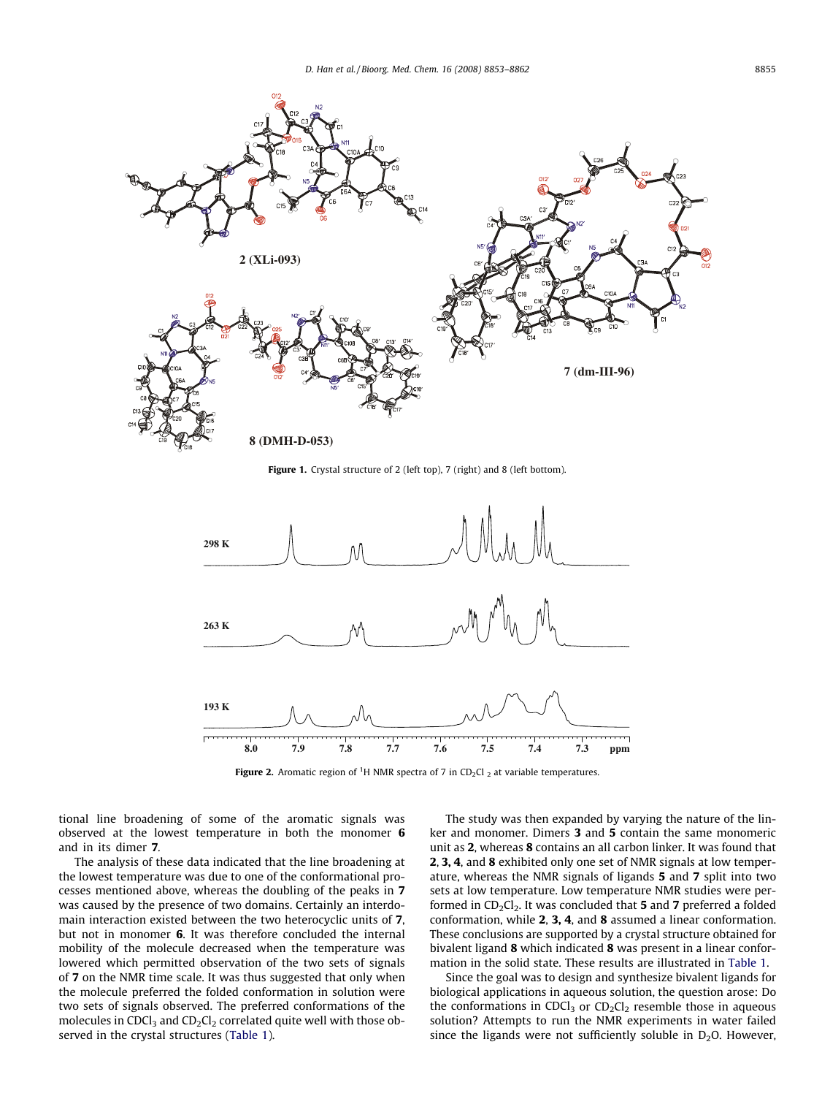<span id="page-2-0"></span>

Figure 1. Crystal structure of 2 (left top), 7 (right) and 8 (left bottom).



**Figure 2.** Aromatic region of <sup>1</sup>H NMR spectra of 7 in CD<sub>2</sub>Cl <sub>2</sub> at variable temperatures.

tional line broadening of some of the aromatic signals was observed at the lowest temperature in both the monomer 6 and in its dimer 7.

The analysis of these data indicated that the line broadening at the lowest temperature was due to one of the conformational processes mentioned above, whereas the doubling of the peaks in 7 was caused by the presence of two domains. Certainly an interdomain interaction existed between the two heterocyclic units of 7, but not in monomer 6. It was therefore concluded the internal mobility of the molecule decreased when the temperature was lowered which permitted observation of the two sets of signals of 7 on the NMR time scale. It was thus suggested that only when the molecule preferred the folded conformation in solution were two sets of signals observed. The preferred conformations of the molecules in CDCl<sub>3</sub> and CD<sub>2</sub>Cl<sub>2</sub> correlated quite well with those observed in the crystal structures ([Table 1](#page-1-0)).

The study was then expanded by varying the nature of the linker and monomer. Dimers 3 and 5 contain the same monomeric unit as 2, whereas 8 contains an all carbon linker. It was found that 2, 3, 4, and 8 exhibited only one set of NMR signals at low temperature, whereas the NMR signals of ligands 5 and 7 split into two sets at low temperature. Low temperature NMR studies were performed in  $CD_2Cl_2$ . It was concluded that 5 and 7 preferred a folded conformation, while 2, 3, 4, and 8 assumed a linear conformation. These conclusions are supported by a crystal structure obtained for bivalent ligand 8 which indicated 8 was present in a linear conformation in the solid state. These results are illustrated in [Table 1.](#page-1-0)

Since the goal was to design and synthesize bivalent ligands for biological applications in aqueous solution, the question arose: Do the conformations in CDCl<sub>3</sub> or  $CD_2Cl_2$  resemble those in aqueous solution? Attempts to run the NMR experiments in water failed since the ligands were not sufficiently soluble in  $D_2O$ . However,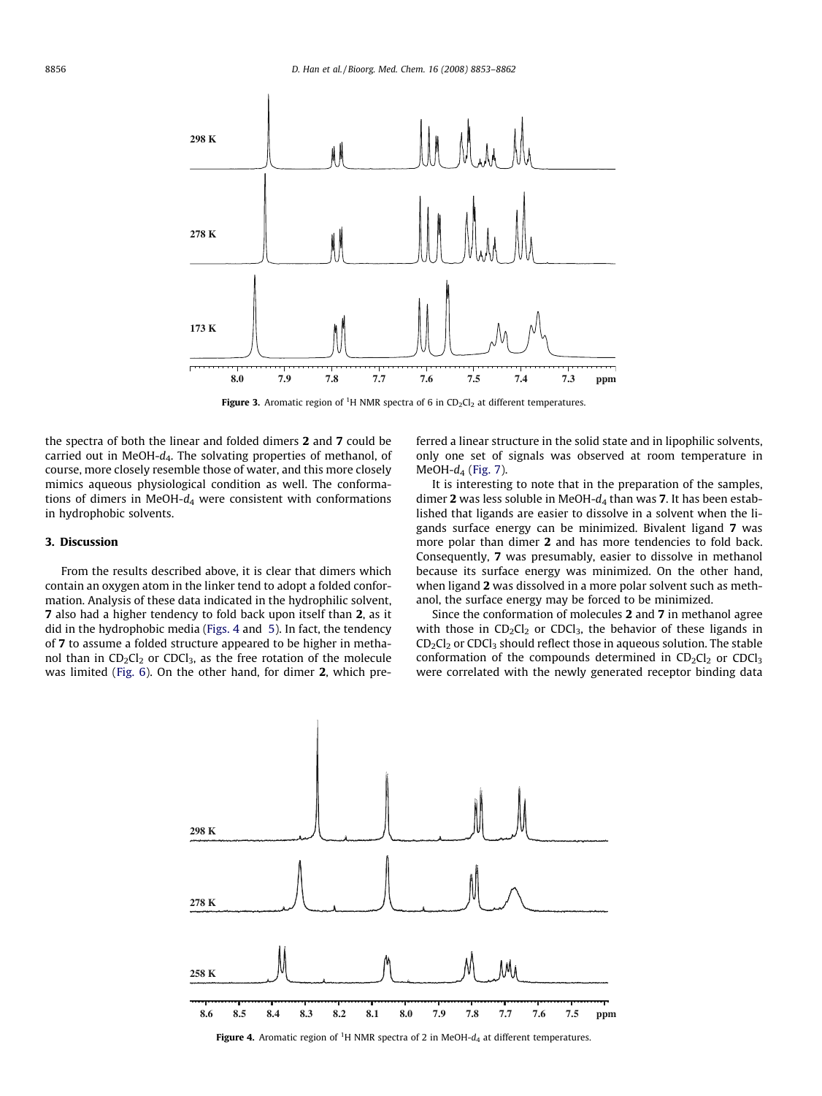<span id="page-3-0"></span>

Figure 3. Aromatic region of <sup>1</sup>H NMR spectra of 6 in  $CD_2Cl_2$  at different temperatures.

the spectra of both the linear and folded dimers 2 and 7 could be carried out in MeOH- $d_4$ . The solvating properties of methanol, of course, more closely resemble those of water, and this more closely mimics aqueous physiological condition as well. The conformations of dimers in MeOH- $d_4$  were consistent with conformations in hydrophobic solvents.

## 3. Discussion

From the results described above, it is clear that dimers which contain an oxygen atom in the linker tend to adopt a folded conformation. Analysis of these data indicated in the hydrophilic solvent, 7 also had a higher tendency to fold back upon itself than 2, as it did in the hydrophobic media (Figs. 4 and [5](#page-4-0)). In fact, the tendency of 7 to assume a folded structure appeared to be higher in methanol than in  $CD_2Cl_2$  or  $CDCl_3$ , as the free rotation of the molecule was limited ([Fig. 6\)](#page-4-0). On the other hand, for dimer 2, which preferred a linear structure in the solid state and in lipophilic solvents, only one set of signals was observed at room temperature in MeOH- $d_4$  ([Fig. 7](#page-5-0)).

It is interesting to note that in the preparation of the samples, dimer 2 was less soluble in MeOH- $d_4$  than was 7. It has been established that ligands are easier to dissolve in a solvent when the ligands surface energy can be minimized. Bivalent ligand 7 was more polar than dimer 2 and has more tendencies to fold back. Consequently, 7 was presumably, easier to dissolve in methanol because its surface energy was minimized. On the other hand, when ligand 2 was dissolved in a more polar solvent such as methanol, the surface energy may be forced to be minimized.

Since the conformation of molecules 2 and 7 in methanol agree with those in  $CD_2Cl_2$  or  $CDCl_3$ , the behavior of these ligands in  $CD_2Cl_2$  or CDCl<sub>3</sub> should reflect those in aqueous solution. The stable conformation of the compounds determined in  $CD_2Cl_2$  or  $CDCl_3$ were correlated with the newly generated receptor binding data

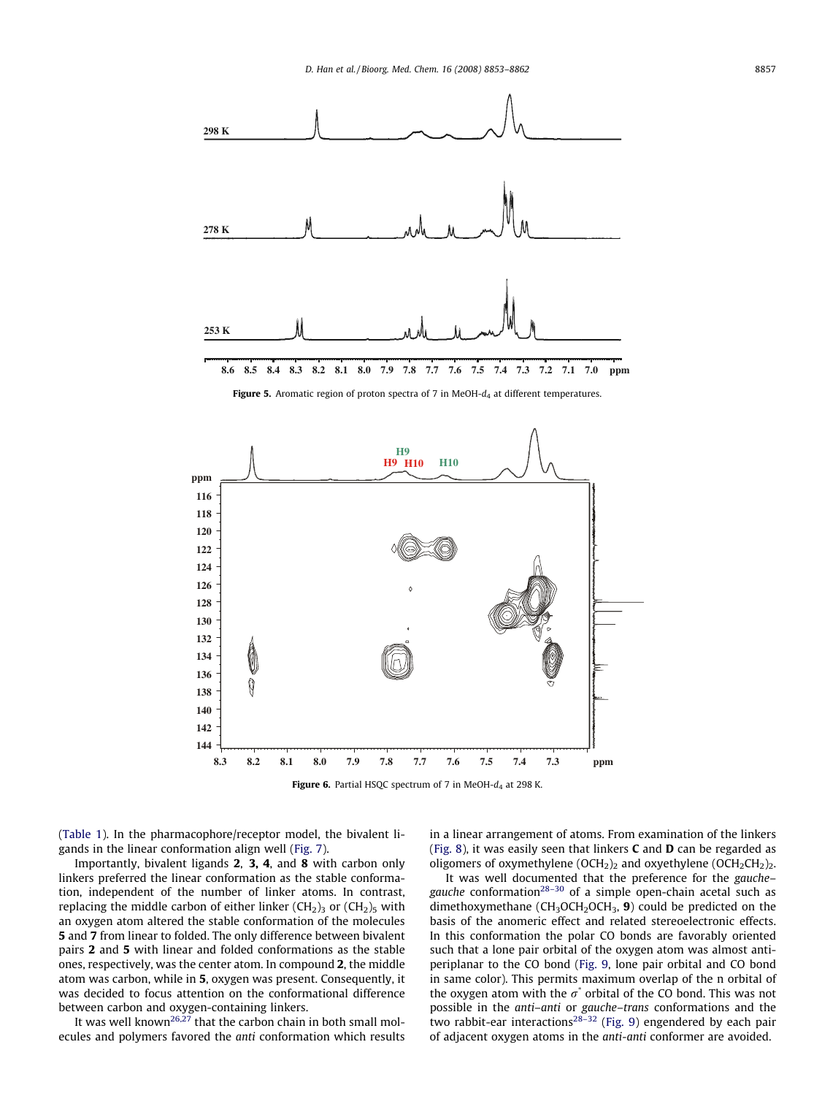<span id="page-4-0"></span>

Figure 5. Aromatic region of proton spectra of 7 in MeOH- $d_4$  at different temperatures.



([Table 1](#page-1-0)). In the pharmacophore/receptor model, the bivalent ligands in the linear conformation align well [\(Fig. 7\)](#page-5-0).

Importantly, bivalent ligands 2, 3, 4, and 8 with carbon only linkers preferred the linear conformation as the stable conformation, independent of the number of linker atoms. In contrast, replacing the middle carbon of either linker  $(CH<sub>2</sub>)<sub>3</sub>$  or  $(CH<sub>2</sub>)<sub>5</sub>$  with an oxygen atom altered the stable conformation of the molecules 5 and 7 from linear to folded. The only difference between bivalent pairs 2 and 5 with linear and folded conformations as the stable ones, respectively, was the center atom. In compound 2, the middle atom was carbon, while in 5, oxygen was present. Consequently, it was decided to focus attention on the conformational difference between carbon and oxygen-containing linkers.

It was well known<sup>26,27</sup> that the carbon chain in both small molecules and polymers favored the anti conformation which results in a linear arrangement of atoms. From examination of the linkers ([Fig. 8\)](#page-5-0), it was easily seen that linkers  $C$  and  $D$  can be regarded as oligomers of oxymethylene (OCH<sub>2</sub>)<sub>2</sub> and oxyethylene (OCH<sub>2</sub>CH<sub>2</sub>)<sub>2</sub>.

It was well documented that the preference for the gauche– gauche conformation<sup>28-30</sup> of a simple open-chain acetal such as dimethoxymethane ( $CH_3OCH_2OCH_3$ , 9) could be predicted on the basis of the anomeric effect and related stereoelectronic effects. In this conformation the polar CO bonds are favorably oriented such that a lone pair orbital of the oxygen atom was almost antiperiplanar to the CO bond ([Fig. 9,](#page-5-0) lone pair orbital and CO bond in same color). This permits maximum overlap of the n orbital of the oxygen atom with the  $\sigma^*$  orbital of the CO bond. This was not possible in the anti–anti or gauche–trans conformations and the two rabbit-ear interactions<sup>[28–32](#page-9-0)</sup> [\(Fig. 9](#page-5-0)) engendered by each pair of adjacent oxygen atoms in the anti-anti conformer are avoided.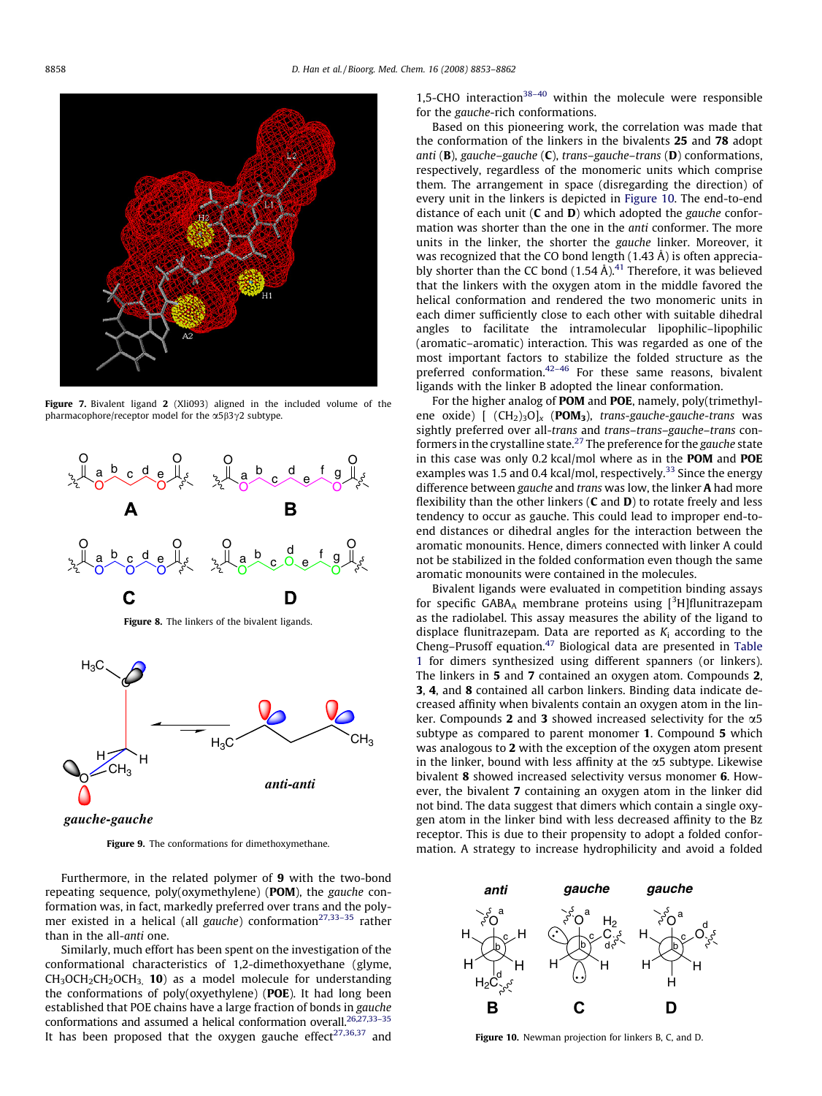<span id="page-5-0"></span>

Figure 7. Bivalent ligand 2 (Xli093) aligned in the included volume of the pharmacophore/receptor model for the  $\alpha$ 5 $\beta$ 3 $\gamma$ 2 subtype.



Figure 8. The linkers of the bivalent ligands.



*gauche-gauche*

Figure 9. The conformations for dimethoxymethane.

Furthermore, in the related polymer of 9 with the two-bond repeating sequence, poly(oxymethylene) (POM), the gauche conformation was, in fact, markedly preferred over trans and the polymer existed in a helical (all gauche) conformation<sup>27,33-35</sup> rather than in the all-anti one.

Similarly, much effort has been spent on the investigation of the conformational characteristics of 1,2-dimethoxyethane (glyme,  $CH<sub>3</sub>OCH<sub>2</sub>CH<sub>2</sub>OCH<sub>3</sub>$ , 10) as a model molecule for understanding the conformations of poly(oxyethylene) (POE). It had long been established that POE chains have a large fraction of bonds in gauche conformations and assumed a helical conformation overall.<sup>26,27,33-35</sup> It has been proposed that the oxygen gauche effect<sup>[27,36,37](#page-9-0)</sup> and 1.5-CHO interaction<sup>38-40</sup> within the molecule were responsible for the gauche-rich conformations.

Based on this pioneering work, the correlation was made that the conformation of the linkers in the bivalents 25 and 78 adopt anti ( $\bf{B}$ ), gauche–gauche ( $\bf{C}$ ), trans–gauche–trans ( $\bf{D}$ ) conformations, respectively, regardless of the monomeric units which comprise them. The arrangement in space (disregarding the direction) of every unit in the linkers is depicted in Figure 10. The end-to-end distance of each unit  $(C \text{ and } D)$  which adopted the gauche conformation was shorter than the one in the anti conformer. The more units in the linker, the shorter the gauche linker. Moreover, it was recognized that the CO bond length (1.43 Å) is often appreciably shorter than the CC bond  $(1.54 \text{ Å})$ .<sup>[41](#page-9-0)</sup> Therefore, it was believed that the linkers with the oxygen atom in the middle favored the helical conformation and rendered the two monomeric units in each dimer sufficiently close to each other with suitable dihedral angles to facilitate the intramolecular lipophilic–lipophilic (aromatic–aromatic) interaction. This was regarded as one of the most important factors to stabilize the folded structure as the preferred conformation.<sup>42-46</sup> For these same reasons, bivalent ligands with the linker B adopted the linear conformation.

For the higher analog of POM and POE, namely, poly(trimethylene oxide)  $[(CH<sub>2</sub>)<sub>3</sub>O]<sub>x</sub>$  (POM<sub>3</sub>), trans-gauche-gauche-trans was sightly preferred over all-trans and trans–trans–gauche–trans conformers in the crystalline state.<sup>27</sup> The preference for the gauche state in this case was only 0.2 kcal/mol where as in the POM and POE examples was 1.5 and 0.4 kcal/mol, respectively.<sup>[33](#page-9-0)</sup> Since the energy difference between gauche and trans was low, the linker A had more flexibility than the other linkers  $(C$  and  $D)$  to rotate freely and less tendency to occur as gauche. This could lead to improper end-toend distances or dihedral angles for the interaction between the aromatic monounits. Hence, dimers connected with linker A could not be stabilized in the folded conformation even though the same aromatic monounits were contained in the molecules.

Bivalent ligands were evaluated in competition binding assays for specific GABA<sub>A</sub> membrane proteins using  $[3H]$ flunitrazepam as the radiolabel. This assay measures the ability of the ligand to displace flunitrazepam. Data are reported as  $K_i$  according to the Cheng–Prusoff equation.[47](#page-9-0) Biological data are presented in [Table](#page-1-0) [1](#page-1-0) for dimers synthesized using different spanners (or linkers). The linkers in 5 and 7 contained an oxygen atom. Compounds 2, 3, 4, and 8 contained all carbon linkers. Binding data indicate decreased affinity when bivalents contain an oxygen atom in the linker. Compounds 2 and 3 showed increased selectivity for the  $\alpha$ 5 subtype as compared to parent monomer 1. Compound 5 which was analogous to 2 with the exception of the oxygen atom present in the linker, bound with less affinity at the  $\alpha$ 5 subtype. Likewise bivalent 8 showed increased selectivity versus monomer 6. However, the bivalent 7 containing an oxygen atom in the linker did not bind. The data suggest that dimers which contain a single oxygen atom in the linker bind with less decreased affinity to the Bz receptor. This is due to their propensity to adopt a folded conformation. A strategy to increase hydrophilicity and avoid a folded



Figure 10. Newman projection for linkers B, C, and D.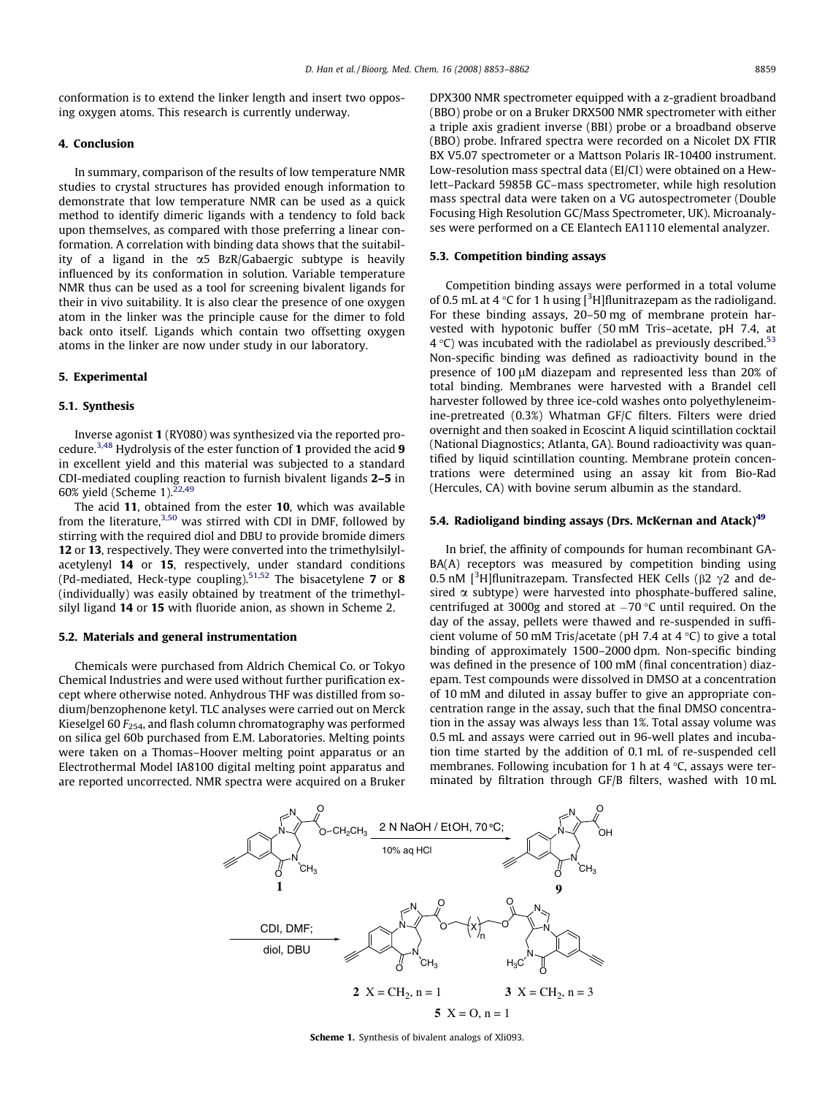conformation is to extend the linker length and insert two opposing oxygen atoms. This research is currently underway.

#### 4. Conclusion

In summary, comparison of the results of low temperature NMR studies to crystal structures has provided enough information to demonstrate that low temperature NMR can be used as a quick method to identify dimeric ligands with a tendency to fold back upon themselves, as compared with those preferring a linear conformation. A correlation with binding data shows that the suitability of a ligand in the  $\alpha$ 5 BzR/Gabaergic subtype is heavily influenced by its conformation in solution. Variable temperature NMR thus can be used as a tool for screening bivalent ligands for their in vivo suitability. It is also clear the presence of one oxygen atom in the linker was the principle cause for the dimer to fold back onto itself. Ligands which contain two offsetting oxygen atoms in the linker are now under study in our laboratory.

## 5. Experimental

#### 5.1. Synthesis

Inverse agonist 1 (RY080) was synthesized via the reported procedure.<sup>3,48</sup> Hydrolysis of the ester function of 1 provided the acid 9 in excellent yield and this material was subjected to a standard CDI-mediated coupling reaction to furnish bivalent ligands 2–5 in 60% yield (Scheme 1). $22,49$ 

The acid 11, obtained from the ester 10, which was available from the literature,<sup>[3,50](#page-9-0)</sup> was stirred with CDI in DMF, followed by stirring with the required diol and DBU to provide bromide dimers 12 or 13, respectively. They were converted into the trimethylsilylacetylenyl 14 or 15, respectively, under standard conditions (Pd-mediated, Heck-type coupling).<sup>[51,52](#page-9-0)</sup> The bisacetylene 7 or 8 (individually) was easily obtained by treatment of the trimethylsilyl ligand 14 or 15 with fluoride anion, as shown in Scheme 2.

#### 5.2. Materials and general instrumentation

Chemicals were purchased from Aldrich Chemical Co. or Tokyo Chemical Industries and were used without further purification except where otherwise noted. Anhydrous THF was distilled from sodium/benzophenone ketyl. TLC analyses were carried out on Merck Kieselgel 60  $F_{254}$ , and flash column chromatography was performed on silica gel 60b purchased from E.M. Laboratories. Melting points were taken on a Thomas–Hoover melting point apparatus or an Electrothermal Model IA8100 digital melting point apparatus and are reported uncorrected. NMR spectra were acquired on a Bruker DPX300 NMR spectrometer equipped with a z-gradient broadband (BBO) probe or on a Bruker DRX500 NMR spectrometer with either a triple axis gradient inverse (BBI) probe or a broadband observe (BBO) probe. Infrared spectra were recorded on a Nicolet DX FTIR BX V5.07 spectrometer or a Mattson Polaris IR-10400 instrument. Low-resolution mass spectral data (EI/CI) were obtained on a Hewlett–Packard 5985B GC–mass spectrometer, while high resolution mass spectral data were taken on a VG autospectrometer (Double Focusing High Resolution GC/Mass Spectrometer, UK). Microanalyses were performed on a CE Elantech EA1110 elemental analyzer.

#### 5.3. Competition binding assays

Competition binding assays were performed in a total volume of 0.5 mL at 4  $\rm ^{\circ}$ C for 1 h using [ $\rm ^3H$ ]flunitrazepam as the radioligand. For these binding assays, 20–50 mg of membrane protein harvested with hypotonic buffer (50 mM Tris–acetate, pH 7.4, at  $4^{\circ}$ C) was incubated with the radiolabel as previously described.<sup>[53](#page-9-0)</sup> Non-specific binding was defined as radioactivity bound in the presence of 100 µM diazepam and represented less than 20% of total binding. Membranes were harvested with a Brandel cell harvester followed by three ice-cold washes onto polyethyleneimine-pretreated (0.3%) Whatman GF/C filters. Filters were dried overnight and then soaked in Ecoscint A liquid scintillation cocktail (National Diagnostics; Atlanta, GA). Bound radioactivity was quantified by liquid scintillation counting. Membrane protein concentrations were determined using an assay kit from Bio-Rad (Hercules, CA) with bovine serum albumin as the standard.

## 5.4. Radioligand binding assays (Drs. McKernan and Atack)<sup>[49](#page-9-0)</sup>

In brief, the affinity of compounds for human recombinant GA-BA(A) receptors was measured by competition binding using 0.5 nM [ ${}^{3}$ H]flunitrazepam. Transfected HEK Cells ( $\beta$ 2  $\gamma$ 2 and desired  $\alpha$  subtype) were harvested into phosphate-buffered saline, centrifuged at 3000g and stored at  $-70$  °C until required. On the day of the assay, pellets were thawed and re-suspended in sufficient volume of 50 mM Tris/acetate (pH 7.4 at 4  $\degree$ C) to give a total binding of approximately 1500–2000 dpm. Non-specific binding was defined in the presence of 100 mM (final concentration) diazepam. Test compounds were dissolved in DMSO at a concentration of 10 mM and diluted in assay buffer to give an appropriate concentration range in the assay, such that the final DMSO concentration in the assay was always less than 1%. Total assay volume was 0.5 mL and assays were carried out in 96-well plates and incubation time started by the addition of 0.1 mL of re-suspended cell membranes. Following incubation for 1 h at  $4^{\circ}$ C, assays were terminated by filtration through GF/B filters, washed with 10 mL



Scheme 1. Synthesis of bivalent analogs of Xli093.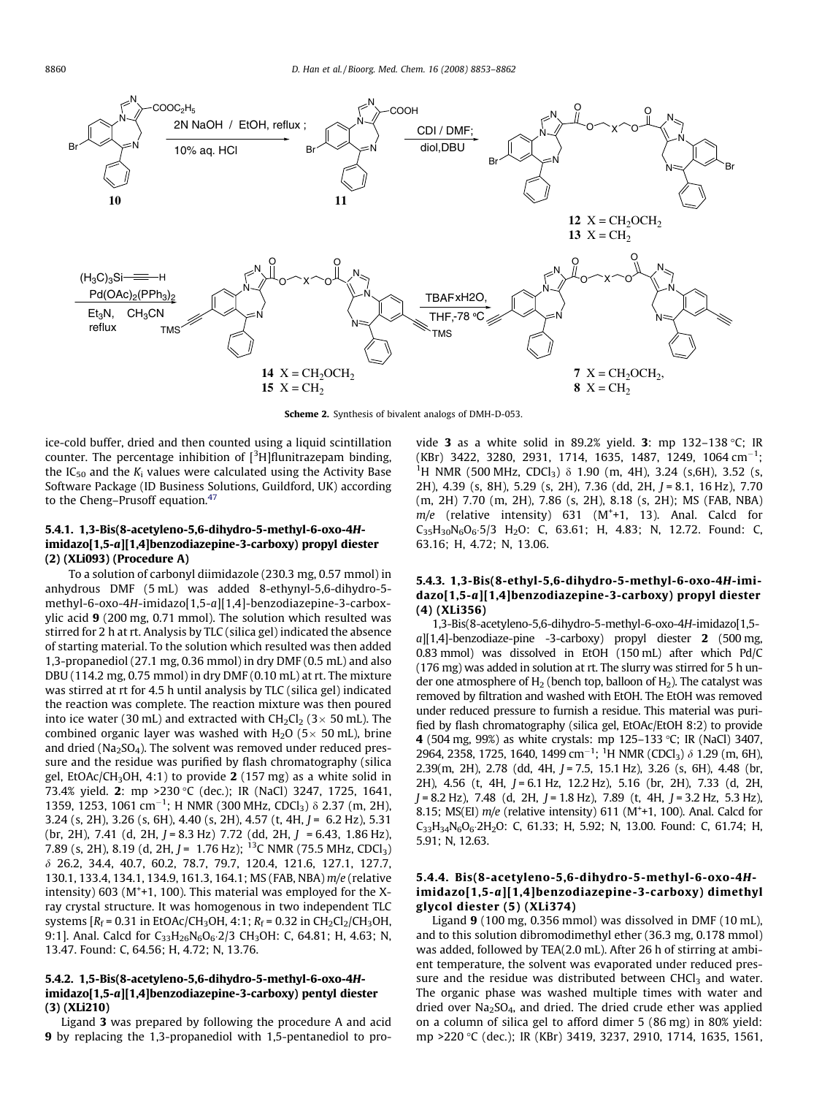

Scheme 2. Synthesis of bivalent analogs of DMH-D-053.

ice-cold buffer, dried and then counted using a liquid scintillation counter. The percentage inhibition of [<sup>3</sup>H]flunitrazepam binding, the  $IC_{50}$  and the  $K_i$  values were calculated using the Activity Base Software Package (ID Business Solutions, Guildford, UK) according to the Cheng-Prusoff equation.<sup>[47](#page-9-0)</sup>

### 5.4.1. 1,3-Bis(8-acetyleno-5,6-dihydro-5-methyl-6-oxo-4Himidazo[1,5-a][1,4]benzodiazepine-3-carboxy) propyl diester (2) (XLi093) (Procedure A)

To a solution of carbonyl diimidazole (230.3 mg, 0.57 mmol) in anhydrous DMF (5 mL) was added 8-ethynyl-5,6-dihydro-5 methyl-6-oxo-4H-imidazo[1,5-a][1,4]-benzodiazepine-3-carboxylic acid 9 (200 mg, 0.71 mmol). The solution which resulted was stirred for 2 h at rt. Analysis by TLC (silica gel) indicated the absence of starting material. To the solution which resulted was then added 1,3-propanediol (27.1 mg, 0.36 mmol) in dry DMF (0.5 mL) and also DBU (114.2 mg, 0.75 mmol) in dry DMF (0.10 mL) at rt. The mixture was stirred at rt for 4.5 h until analysis by TLC (silica gel) indicated the reaction was complete. The reaction mixture was then poured into ice water (30 mL) and extracted with  $CH_2Cl_2$  (3 $\times$  50 mL). The combined organic layer was washed with  $H_2O$  (5 $\times$  50 mL), brine and dried ( $Na<sub>2</sub>SO<sub>4</sub>$ ). The solvent was removed under reduced pressure and the residue was purified by flash chromatography (silica gel, EtOAc/CH<sub>3</sub>OH, 4:1) to provide 2 (157 mg) as a white solid in 73.4% yield. 2: mp >230 °C (dec.); IR (NaCl) 3247, 1725, 1641, 1359, 1253, 1061 cm<sup>-1</sup>; H NMR (300 MHz, CDCl<sub>3</sub>)  $\delta$  2.37 (m, 2H), 3.24 (s, 2H), 3.26 (s, 6H), 4.40 (s, 2H), 4.57 (t, 4H,  $J = 6.2$  Hz), 5.31 (br, 2H), 7.41 (d, 2H,  $J = 8.3$  Hz) 7.72 (dd, 2H,  $J = 6.43$ , 1.86 Hz), 7.89 (s, 2H), 8.19 (d, 2H,  $J = 1.76$  Hz); <sup>13</sup>C NMR (75.5 MHz, CDCl<sub>3</sub>) d 26.2, 34.4, 40.7, 60.2, 78.7, 79.7, 120.4, 121.6, 127.1, 127.7, 130.1, 133.4, 134.1, 134.9, 161.3, 164.1; MS (FAB, NBA) m/e (relative intensity) 603 (M<sup>+</sup>+1, 100). This material was employed for the Xray crystal structure. It was homogenous in two independent TLC systems  $[R_f = 0.31$  in EtOAc/CH<sub>3</sub>OH, 4:1;  $R_f = 0.32$  in CH<sub>2</sub>Cl<sub>2</sub>/CH<sub>3</sub>OH, 9:1]. Anal. Calcd for  $C_{33}H_{26}N_6O_6$ :2/3 CH<sub>3</sub>OH: C, 64.81; H, 4.63; N, 13.47. Found: C, 64.56; H, 4.72; N, 13.76.

# 5.4.2. 1,5-Bis(8-acetyleno-5,6-dihydro-5-methyl-6-oxo-4Himidazo[1,5-a][1,4]benzodiazepine-3-carboxy) pentyl diester (3) (XLi210)

Ligand 3 was prepared by following the procedure A and acid 9 by replacing the 1,3-propanediol with 1,5-pentanediol to provide 3 as a white solid in 89.2% yield. 3: mp 132-138 °C; IR  $(KBr)$  3422, 3280, 2931, 1714, 1635, 1487, 1249, 1064 cm<sup>-1</sup>; <sup>1</sup>H NMR (500 MHz, CDCl<sub>3</sub>) δ 1.90 (m, 4H), 3.24 (s,6H), 3.52 (s, 2H), 4.39 (s, 8H), 5.29 (s, 2H), 7.36 (dd, 2H, J = 8.1, 16 Hz), 7.70 (m, 2H) 7.70 (m, 2H), 7.86 (s, 2H), 8.18 (s, 2H); MS (FAB, NBA)  $m/e$  (relative intensity) 631 (M<sup>+</sup>+1, 13). Anal. Calcd for  $C_{35}H_{30}N_6O_6.5/3$  H<sub>2</sub>O: C, 63.61; H, 4.83; N, 12.72. Found: C, 63.16; H, 4.72; N, 13.06.

## 5.4.3. 1,3-Bis(8-ethyl-5,6-dihydro-5-methyl-6-oxo-4H-imidazo[1,5-a][1,4]benzodiazepine-3-carboxy) propyl diester (4) (XLi356)

1,3-Bis(8-acetyleno-5,6-dihydro-5-methyl-6-oxo-4H-imidazo[1,5 a][1,4]-benzodiaze-pine -3-carboxy) propyl diester 2 (500 mg, 0.83 mmol) was dissolved in EtOH (150 mL) after which Pd/C (176 mg) was added in solution at rt. The slurry was stirred for 5 h under one atmosphere of  $H_2$  (bench top, balloon of  $H_2$ ). The catalyst was removed by filtration and washed with EtOH. The EtOH was removed under reduced pressure to furnish a residue. This material was purified by flash chromatography (silica gel, EtOAc/EtOH 8:2) to provide 4 (504 mg, 99%) as white crystals: mp 125-133 °C; IR (NaCl) 3407, 2964, 2358, 1725, 1640, 1499 cm<sup>-1</sup>; <sup>1</sup>H NMR (CDCl<sub>3</sub>)  $\delta$  1.29 (m, 6H),  $2.39(m, 2H)$ ,  $2.78$  (dd, 4H,  $J = 7.5$ , 15.1 Hz), 3.26 (s, 6H), 4.48 (br, 2H), 4.56 (t, 4H, J = 6.1 Hz, 12.2 Hz), 5.16 (br, 2H), 7.33 (d, 2H,  $J = 8.2$  Hz), 7.48 (d, 2H,  $J = 1.8$  Hz), 7.89 (t, 4H,  $J = 3.2$  Hz, 5.3 Hz), 8.15; MS(EI)  $m/e$  (relative intensity) 611 (M<sup>+</sup>+1, 100). Anal. Calcd for  $C_{33}H_{34}N_6O_6$  2H<sub>2</sub>O: C, 61.33; H, 5.92; N, 13.00. Found: C, 61.74; H, 5.91; N, 12.63.

## 5.4.4. Bis(8-acetyleno-5,6-dihydro-5-methyl-6-oxo-4Himidazo[1,5-a][1,4]benzodiazepine-3-carboxy) dimethyl glycol diester (5) (XLi374)

Ligand 9 (100 mg, 0.356 mmol) was dissolved in DMF (10 mL), and to this solution dibromodimethyl ether (36.3 mg, 0.178 mmol) was added, followed by TEA(2.0 mL). After 26 h of stirring at ambient temperature, the solvent was evaporated under reduced pressure and the residue was distributed between  $CHCl<sub>3</sub>$  and water. The organic phase was washed multiple times with water and dried over  $Na<sub>2</sub>SO<sub>4</sub>$ , and dried. The dried crude ether was applied on a column of silica gel to afford dimer 5 (86 mg) in 80% yield: mp >220 °C (dec.); IR (KBr) 3419, 3237, 2910, 1714, 1635, 1561,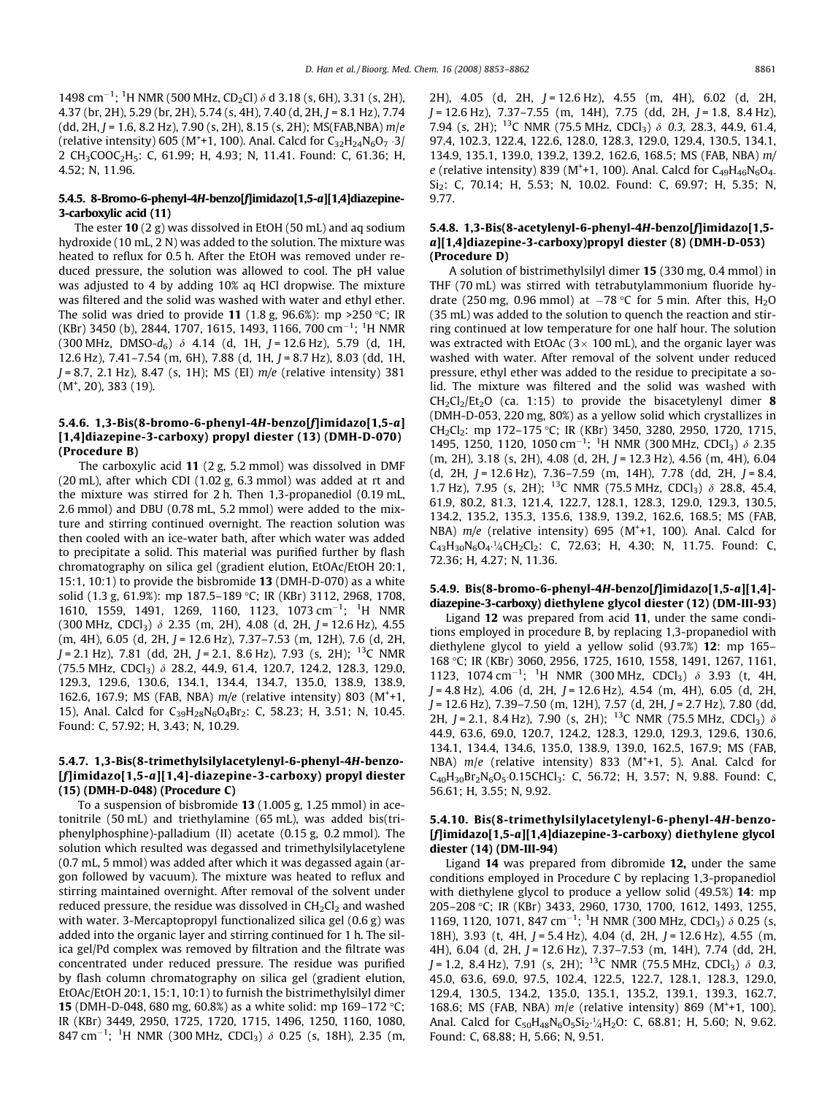1498 cm<sup>-1</sup>; <sup>1</sup>H NMR (500 MHz, CD<sub>2</sub>Cl)  $\delta$  d 3.18 (s, 6H), 3.31 (s, 2H), 4.37 (br, 2H), 5.29 (br, 2H), 5.74 (s, 4H), 7.40 (d, 2H,  $I = 8.1$  Hz), 7.74  $(dd, 2H, I = 1.6, 8.2 Hz$ ), 7.90 (s, 2H), 8.15 (s, 2H); MS(FAB, NBA) m/e (relative intensity) 605 (M<sup>+</sup>+1, 100). Anal. Calcd for  $C_{32}H_{24}N_6O_7 \cdot 3/2$ 2 CH3COOC2H5: C, 61.99; H, 4.93; N, 11.41. Found: C, 61.36; H, 4.52; N, 11.96.

## 5.4.5. 8-Bromo-6-phenyl-4H-benzo[f]imidazo[1,5-a][1,4]diazepine-3-carboxylic acid (11)

The ester  $10(2 g)$  was dissolved in EtOH (50 mL) and ag sodium hydroxide (10 mL, 2 N) was added to the solution. The mixture was heated to reflux for 0.5 h. After the EtOH was removed under reduced pressure, the solution was allowed to cool. The pH value was adjusted to 4 by adding 10% aq HCl dropwise. The mixture was filtered and the solid was washed with water and ethyl ether. The solid was dried to provide 11 (1.8 g, 96.6%): mp >250 °C; IR (KBr) 3450 (b), 2844, 1707, 1615, 1493, 1166, 700 cm<sup>-1</sup>; <sup>1</sup>H NMR  $(300 \text{ MHz}, \text{ DMSO-d}_6)$   $\delta$  4.14 (d, 1H, J = 12.6 Hz), 5.79 (d, 1H, 12.6 Hz), 7.41-7.54 (m, 6H), 7.88 (d, 1H, J = 8.7 Hz), 8.03 (dd, 1H,  $J = 8.7, 2.1$  Hz), 8.47 (s, 1H); MS (EI)  $m/e$  (relative intensity) 381  $(M<sup>+</sup>, 20)$ , 383 (19).

## 5.4.6. 1,3-Bis(8-bromo-6-phenyl-4H-benzo[f]imidazo[1,5-a] [1,4]diazepine-3-carboxy) propyl diester (13) (DMH-D-070) (Procedure B)

The carboxylic acid 11 (2 g, 5.2 mmol) was dissolved in DMF (20 mL), after which CDI (1.02 g, 6.3 mmol) was added at rt and the mixture was stirred for 2 h. Then 1,3-propanediol (0.19 mL, 2.6 mmol) and DBU (0.78 mL, 5.2 mmol) were added to the mixture and stirring continued overnight. The reaction solution was then cooled with an ice-water bath, after which water was added to precipitate a solid. This material was purified further by flash chromatography on silica gel (gradient elution, EtOAc/EtOH 20:1, 15:1, 10:1) to provide the bisbromide 13 (DMH-D-070) as a white solid (1.3 g, 61.9%): mp 187.5-189 °C; IR (KBr) 3112, 2968, 1708, 1610, 1559, 1491, 1269, 1160, 1123, 1073 cm<sup>-1</sup>; <sup>1</sup>H NMR  $(300 \text{ MHz}, \text{CDCl}_3)$   $\delta$  2.35 (m, 2H), 4.08 (d, 2H, J = 12.6 Hz), 4.55  $(m, 4H)$ , 6.05 (d, 2H,  $J = 12.6$  Hz), 7.37–7.53 (m, 12H), 7.6 (d, 2H,  $J = 2.1$  Hz), 7.81 (dd, 2H,  $J = 2.1$ , 8.6 Hz), 7.93 (s, 2H); <sup>13</sup>C NMR  $(75.5 \text{ MHz}, \text{CDCl}_3)$   $\delta$  28.2, 44.9, 61.4, 120.7, 124.2, 128.3, 129.0, 129.3, 129.6, 130.6, 134.1, 134.4, 134.7, 135.0, 138.9, 138.9, 162.6, 167.9; MS (FAB, NBA)  $m/e$  (relative intensity) 803 (M<sup>+</sup>+1, 15), Anal. Calcd for  $C_{39}H_{28}N_6O_4Br_2$ : C, 58.23; H, 3.51; N, 10.45. Found: C, 57.92; H, 3.43; N, 10.29.

## 5.4.7. 1,3-Bis(8-trimethylsilylacetylenyl-6-phenyl-4H-benzo- [f]imidazo[1,5-a][1,4]-diazepine-3-carboxy) propyl diester (15) (DMH-D-048) (Procedure C)

To a suspension of bisbromide 13 (1.005 g, 1.25 mmol) in acetonitrile (50 mL) and triethylamine (65 mL), was added bis(triphenylphosphine)-palladium (II) acetate (0.15 g, 0.2 mmol). The solution which resulted was degassed and trimethylsilylacetylene (0.7 mL, 5 mmol) was added after which it was degassed again (argon followed by vacuum). The mixture was heated to reflux and stirring maintained overnight. After removal of the solvent under reduced pressure, the residue was dissolved in  $CH<sub>2</sub>Cl<sub>2</sub>$  and washed with water. 3-Mercaptopropyl functionalized silica gel (0.6 g) was added into the organic layer and stirring continued for 1 h. The silica gel/Pd complex was removed by filtration and the filtrate was concentrated under reduced pressure. The residue was purified by flash column chromatography on silica gel (gradient elution, EtOAc/EtOH 20:1, 15:1, 10:1) to furnish the bistrimethylsilyl dimer **15** (DMH-D-048, 680 mg, 60.8%) as a white solid: mp 169-172 °C; IR (KBr) 3449, 2950, 1725, 1720, 1715, 1496, 1250, 1160, 1080, 847 cm<sup>-1</sup>; <sup>1</sup>H NMR (300 MHz, CDCl<sub>3</sub>)  $\delta$  0.25 (s, 18H), 2.35 (m,

2H), 4.05 (d, 2H, J = 12.6 Hz), 4.55 (m, 4H), 6.02 (d, 2H,  $J = 12.6$  Hz),  $7.37 - 7.55$  (m, 14H),  $7.75$  (dd, 2H,  $J = 1.8$ , 8.4 Hz), 7.94 (s, 2H); <sup>13</sup>C NMR (75.5 MHz, CDCl<sub>3</sub>)  $\delta$  0.3, 28.3, 44.9, 61.4, 97.4, 102.3, 122.4, 122.6, 128.0, 128.3, 129.0, 129.4, 130.5, 134.1, 134.9, 135.1, 139.0, 139.2, 139.2, 162.6, 168.5; MS (FAB, NBA) m/ e (relative intensity) 839 (M<sup>+</sup>+1, 100). Anal. Calcd for  $C_{49}H_{46}N_6O_4$ . Si<sub>2</sub>: C, 70.14; H, 5.53; N, 10.02. Found: C, 69.97; H, 5.35; N, 9.77.

## 5.4.8. 1,3-Bis(8-acetylenyl-6-phenyl-4H-benzo[f]imidazo[1,5 a][1,4]diazepine-3-carboxy)propyl diester (8) (DMH-D-053) (Procedure D)

A solution of bistrimethylsilyl dimer 15 (330 mg, 0.4 mmol) in THF (70 mL) was stirred with tetrabutylammonium fluoride hydrate (250 mg, 0.96 mmol) at  $-78$  °C for 5 min. After this, H<sub>2</sub>O (35 mL) was added to the solution to quench the reaction and stirring continued at low temperature for one half hour. The solution was extracted with EtOAc  $(3 \times 100 \text{ mL})$ , and the organic layer was washed with water. After removal of the solvent under reduced pressure, ethyl ether was added to the residue to precipitate a solid. The mixture was filtered and the solid was washed with  $CH_2Cl_2/Et_2O$  (ca. 1:15) to provide the bisacetylenyl dimer 8 (DMH-D-053, 220 mg, 80%) as a yellow solid which crystallizes in CH<sub>2</sub>Cl<sub>2</sub>: mp 172–175 °C; IR (KBr) 3450, 3280, 2950, 1720, 1715, 1495, 1250, 1120, 1050 cm<sup>-1</sup>; <sup>1</sup>H NMR (300 MHz, CDCl<sub>3</sub>)  $\delta$  2.35 (m, 2H), 3.18 (s, 2H), 4.08 (d, 2H, J = 12.3 Hz), 4.56 (m, 4H), 6.04 (d, 2H,  $J = 12.6$  Hz), 7.36–7.59 (m, 14H), 7.78 (dd, 2H,  $J = 8.4$ , 1.7 Hz), 7.95 (s, 2H); <sup>13</sup>C NMR (75.5 MHz, CDCl<sub>3</sub>)  $\delta$  28.8, 45.4, 61.9, 80.2, 81.3, 121.4, 122.7, 128.1, 128.3, 129.0, 129.3, 130.5, 134.2, 135.2, 135.3, 135.6, 138.9, 139.2, 162.6, 168.5; MS (FAB, NBA)  $m/e$  (relative intensity) 695 (M<sup>+</sup>+1, 100). Anal. Calcd for  $C_{43}H_{30}N_6O_4$   $\frac{1}{4}CH_2Cl_2$ : C, 72.63; H, 4.30; N, 11.75. Found: C, 72.36; H, 4.27; N, 11.36.

## 5.4.9. Bis(8-bromo-6-phenyl-4H-benzo[f]imidazo[1,5-a][1,4] diazepine-3-carboxy) diethylene glycol diester (12) (DM-III-93)

Ligand 12 was prepared from acid 11, under the same conditions employed in procedure B, by replacing 1,3-propanediol with diethylene glycol to yield a yellow solid (93.7%) 12: mp 165– 168 C; IR (KBr) 3060, 2956, 1725, 1610, 1558, 1491, 1267, 1161, 1123, 1074 cm<sup>-1</sup>; <sup>1</sup>H NMR (300 MHz, CDCl<sub>3</sub>)  $\delta$  3.93 (t, 4H,  $J = 4.8$  Hz), 4.06 (d, 2H,  $J = 12.6$  Hz), 4.54 (m, 4H), 6.05 (d, 2H,  $J = 12.6$  Hz),  $7.39 - 7.50$  (m, 12H),  $7.57$  (d, 2H,  $J = 2.7$  Hz),  $7.80$  (dd, 2H, J = 2.1, 8.4 Hz), 7.90 (s, 2H); <sup>13</sup>C NMR (75.5 MHz, CDCl<sub>3</sub>)  $\delta$ 44.9, 63.6, 69.0, 120.7, 124.2, 128.3, 129.0, 129.3, 129.6, 130.6, 134.1, 134.4, 134.6, 135.0, 138.9, 139.0, 162.5, 167.9; MS (FAB, NBA) m/e (relative intensity) 833 (M<sup>+</sup>+1, 5). Anal. Calcd for  $C_{40}H_{30}Br_2N_6O_5 \cdot 0.15CHCl_3$ : C, 56.72; H, 3.57; N, 9.88. Found: C, 56.61; H, 3.55; N, 9.92.

## 5.4.10. Bis(8-trimethylsilylacetylenyl-6-phenyl-4H-benzo- [f]imidazo[1,5-a][1,4]diazepine-3-carboxy) diethylene glycol diester (14) (DM-III-94)

Ligand 14 was prepared from dibromide 12, under the same conditions employed in Procedure C by replacing 1,3-propanediol with diethylene glycol to produce a yellow solid (49.5%) 14: mp 205–208 C; IR (KBr) 3433, 2960, 1730, 1700, 1612, 1493, 1255, 1169, 1120, 1071, 847 cm<sup>-1</sup>; <sup>1</sup>H NMR (300 MHz, CDCl<sub>3</sub>)  $\delta$  0.25 (s, 18H), 3.93 (t, 4H, J = 5.4 Hz), 4.04 (d, 2H, J = 12.6 Hz), 4.55 (m, 4H), 6.04 (d, 2H, J = 12.6 Hz), 7.37-7.53 (m, 14H), 7.74 (dd, 2H,  $J = 1.2$ , 8.4 Hz), 7.91 (s, 2H); <sup>13</sup>C NMR (75.5 MHz, CDCl<sub>3</sub>)  $\delta$  0.3, 45.0, 63.6, 69.0, 97.5, 102.4, 122.5, 122.7, 128.1, 128.3, 129.0, 129.4, 130.5, 134.2, 135.0, 135.1, 135.2, 139.1, 139.3, 162.7, 168.6; MS (FAB, NBA)  $m/e$  (relative intensity) 869 (M<sup>+</sup>+1, 100). Anal. Calcd for  $C_{50}H_{48}N_6O_5Si_2 \cdot 4H_2O$ : C, 68.81; H, 5.60; N, 9.62. Found: C, 68.88; H, 5.66; N, 9.51.